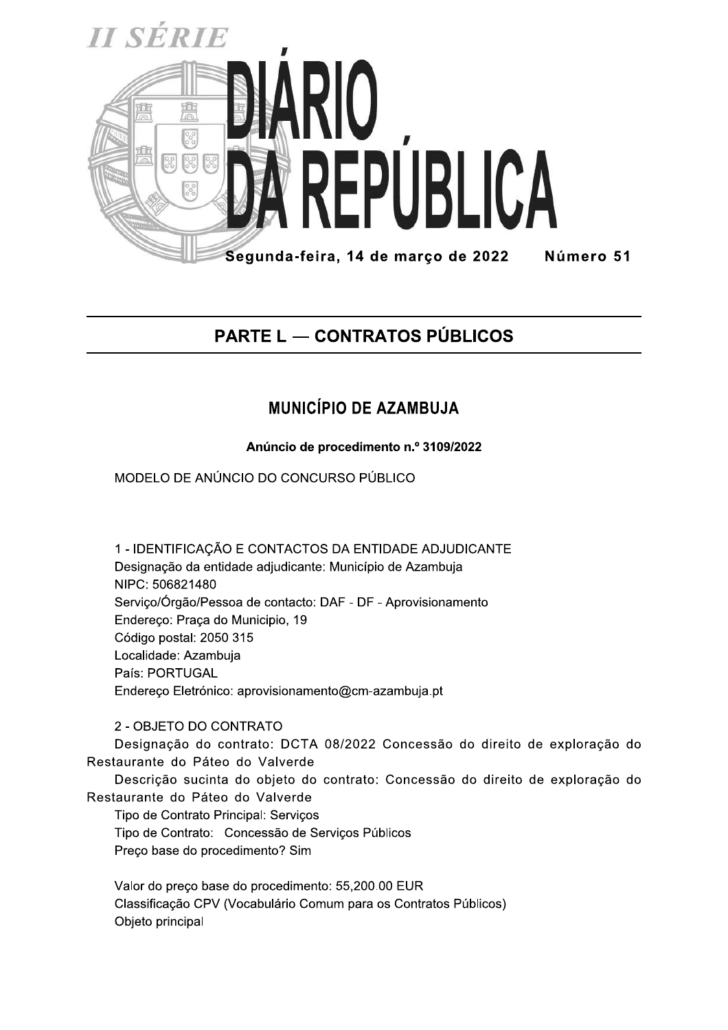

## **PARTE L — CONTRATOS PÚBLICOS**

## **MUNICÍPIO DE AZAMBUJA**

Anúncio de procedimento n.º 3109/2022

MODELO DE ANÚNCIO DO CONCURSO PÚBLICO

1 - IDENTIFICAÇÃO E CONTACTOS DA ENTIDADE ADJUDICANTE Designação da entidade adjudicante: Município de Azambuja NIPC: 506821480 Serviço/Órgão/Pessoa de contacto: DAF - DF - Aprovisionamento Endereço: Praça do Municipio, 19 Código postal: 2050 315 Localidade: Azambuja País: PORTUGAL Endereço Eletrónico: aprovisionamento@cm-azambuja.pt

## 2 - OBJETO DO CONTRATO

Designação do contrato: DCTA 08/2022 Concessão do direito de exploração do Restaurante do Páteo do Valverde

Descrição sucinta do objeto do contrato: Concessão do direito de exploração do Restaurante do Páteo do Valverde

Tipo de Contrato Principal: Serviços Tipo de Contrato: Concessão de Serviços Públicos Preco base do procedimento? Sim

Valor do preço base do procedimento: 55,200.00 EUR Classificação CPV (Vocabulário Comum para os Contratos Públicos) Objeto principal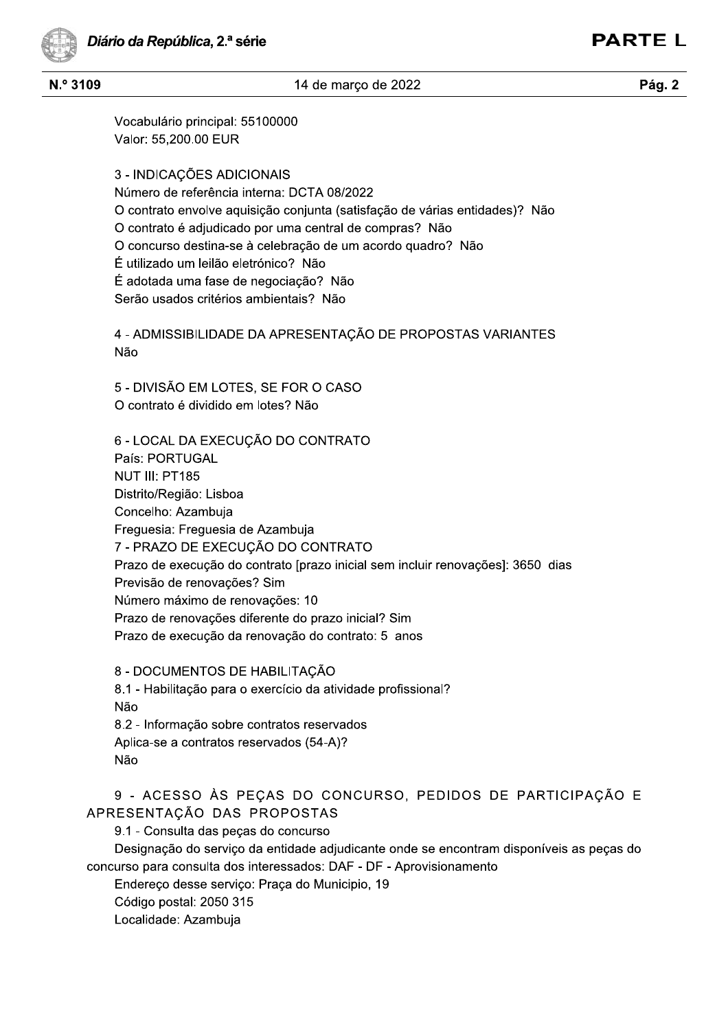14 de março de 2022

**PARTE L** 

## $N.<sup>°</sup>$  3109

Vocabulário principal: 55100000 Valor: 55,200.00 EUR

3 - INDICAÇÕES ADICIONAIS Número de referência interna: DCTA 08/2022 O contrato envolve aquisição conjunta (satisfação de várias entidades)? Não O contrato é adjudicado por uma central de compras? Não O concurso destina-se à celebração de um acordo quadro? Não É utilizado um leilão eletrónico? Não É adotada uma fase de negociação? Não Serão usados critérios ambientais? Não

4 - ADMISSIBILIDADE DA APRESENTAÇÃO DE PROPOSTAS VARIANTES Não

5 - DIVISÃO EM LOTES, SE FOR O CASO O contrato é dividido em lotes? Não

6 - LOCAL DA EXECUÇÃO DO CONTRATO País: PORTUGAL NUT III: PT185 Distrito/Região: Lisboa Concelho: Azambuja Freguesia: Freguesia de Azambuja 7 - PRAZO DE EXECUÇÃO DO CONTRATO Prazo de execução do contrato [prazo inicial sem incluir renovações]: 3650 dias Previsão de renovações? Sim Número máximo de renovações: 10 Prazo de renovações diferente do prazo inicial? Sim Prazo de execução da renovação do contrato: 5 anos

8 - DOCUMENTOS DE HABILITAÇÃO 8.1 - Habilitação para o exercício da atividade profissional? Não 8.2 - Informação sobre contratos reservados Aplica-se a contratos reservados (54-A)? Não

9 - ACESSO ÀS PEÇAS DO CONCURSO, PEDIDOS DE PARTICIPAÇÃO E APRESENTACÃO DAS PROPOSTAS

9.1 - Consulta das peças do concurso

Designação do serviço da entidade adjudicante onde se encontram disponíveis as peças do concurso para consulta dos interessados: DAF - DF - Aprovisionamento

Endereço desse serviço: Praça do Municipio, 19

Código postal: 2050 315

Localidade: Azambuja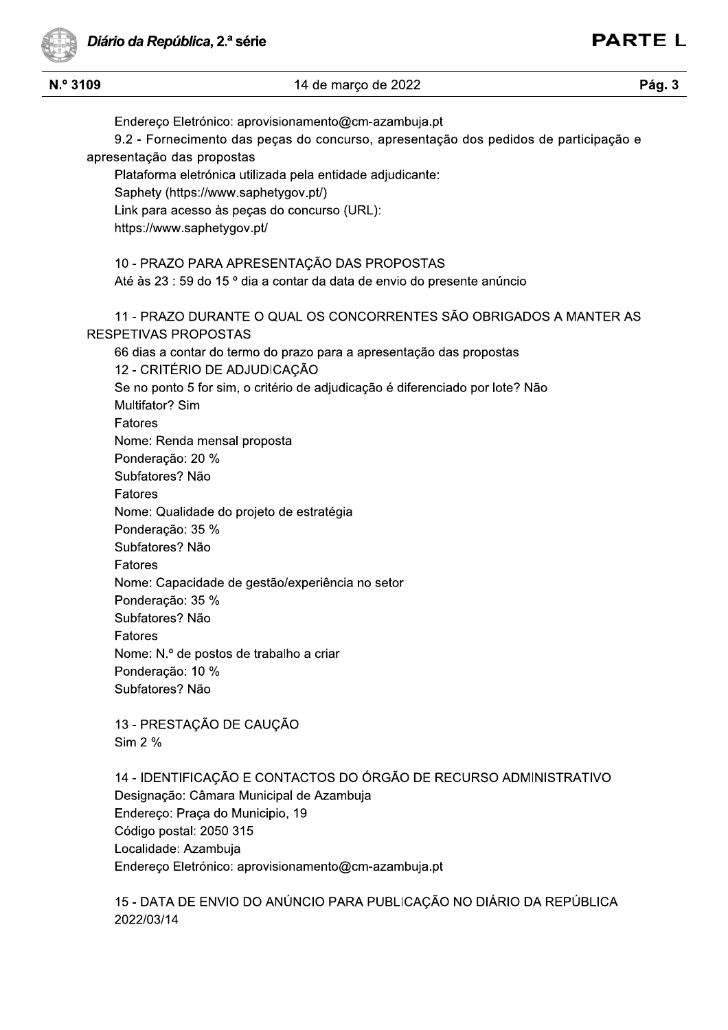Diário da República, 2.ª série

Endereço Eletronico: aprovisionamento@cm-azambuja.pt

apresentação das propostas Plataforma eletronica utilizada pela entidade adjudio 14 de março de 2022<br>
Endereço Eletrónico: aprovisionamento@cm-azambuja.pt<br>
9.2 - Fornecimento das peças do concurso, apresentação<br>
sentação das propostas<br>
Plataforma eletrónica utilizada pela entidade adjudicante:<br>
Saphety Endereço Eletrónico: aprovisionamento@cm-aza<br>
9.2 - Fornecimento das peças do concurso, apresentação das propostas<br>
Plataforma eletrónica utilizada pela entidade adju<br>
Saphety (https://www.saphetygov.pt/)<br>
Link para acesso 10 - PRAZO PARA APRESENTAÇÃO DAS PROPOSTAS Até as 23 : 59 do 15 ° dia a contar da data de envio do presente anuncio 11 - PRAZO DURANTE O QUAL OS CONCORRENTES SÃO OBRIGADOS A MANTER AS RESPETIVAS PROPOSTAS bo días a contar do termo do prazo para a apresentação das propostas 12 - CRITÉRIO DE ADJUDICAÇÃO Se no ponto 5 for sim, o criterio de adjudicação e diferenciado por lote? Não  $\,$ Multifator? Sim Fatores ivome: Renda mensai proposta Ponderação: 20 % Subfatores? Não Fatores ivome: Qualidade do projeto de Se no ponto 3 for sim, o chieno de adjudicação e diferenciado<br>Multifator? Sim<br>Fatores<br>Nome: Renda mensal proposta<br>Ponderação: 20 %<br>Subfatores? Não<br>Fatores<br>Nome: Qualidade do projeto de estratégia<br>Ponderação: 35 %<br>Subfatore Ponderação: 35 % Subfatores? Não Fatores nome: Capacidade de Polideração: 20 %<br>
Subfatores? Não<br>
Fatores<br>
Nome: Qualidade do projeto de estratégia<br>
Ponderação: 35 %<br>
Subfatores? Não<br>
Fatores<br>
Nome: Capacidade de gestão/experiência no setor<br>
Ponderação: 35 %<br>
Subfatores? Não<br>
Fatores Ponderação: 35 % Subfatores? Não Fatores inome: N.º de postos de trabalho a criar Ponderação: 10 % Subfatores? Não 13 - PRESTAÇÃO DE CAUÇÃO Sim 2 % Folideração. 10 %<br>
Subfatores? Não<br>
13 - PRESTAÇÃO DE CAUÇÃO<br>
Sim 2 %<br>
14 - IDENTIFICAÇÃO E CONTACTOS DO ÓRGÃO DE RECURSO ADMINISTRATIVO<br>
Designação: Câmara Municipal de Azambuja<br>
Endereço: Praça do Municipio, 19<br>
Código p Designação: Câmara Municipal de Azambuja Endereço: Praça do Municipio, 19 Coal 13 - PRESTAÇÃO DE CAU<br>
Sim 2 %<br>
14 - IDENTIFICAÇÃO E CO<br>
Designação: Câmara Munic<br>
Endereço: Praça do Munici<br>
Código postal: 2050 315<br>
Localidade: Azambuja<br>
Endereço Eletrónico: aprov<br>
15 - DATA DE ENVIO DO /<br>
2022/03/14

9.2 - Fornecimento das peças do concurso, apresentação dos pedidos de participação e

**i**ble 14 de marco de 2022 **interpretation contracts** and the marco de 2022 **interpretation contracts Pág. 3** 

ade: Azambuja Endereço Eletronico: aprovisionamento@cm-azambuja.pt

15 - DATA DE ENVIO DO ANÚNCIO PARA PUBLICAÇÃO NO DIÁRIO DA REPÚBLICA 2022/03/14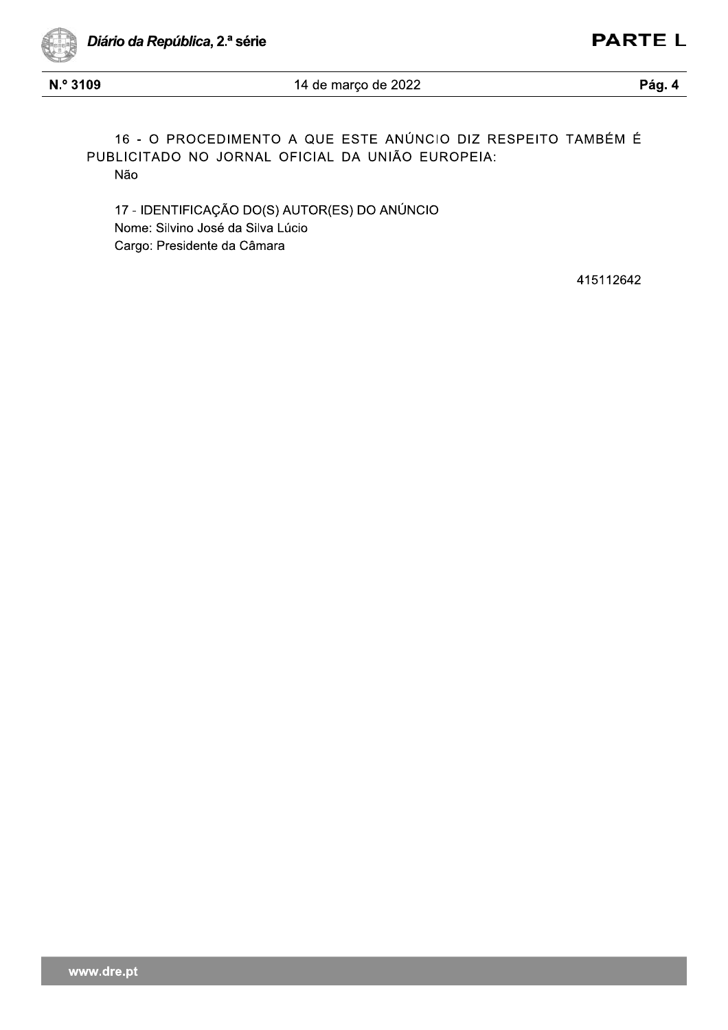

N.º 3109

Pág. 4

16 - O PROCEDIMENTO A QUE ESTE ANÚNCIO DIZ RESPEITO TAMBÉM É PUBLICITADO NO JORNAL OFICIAL DA UNIÃO EUROPEIA: Não

17 - IDENTIFICAÇÃO DO(S) AUTOR(ES) DO ANÚNCIO Nome: Silvino José da Silva Lúcio Cargo: Presidente da Câmara

415112642